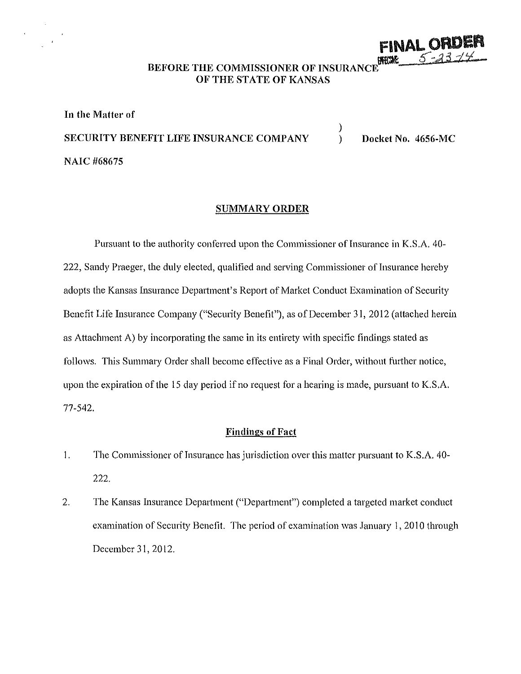# FINAL ORDER BEFORE THE COMMISSIONER OF INSURANCE OF THE STATE OF KANSAS

In the Matter of

SECURITY BENEFIT LIFE INSURANCE COMPANY

NAIC #68675

)

) Docket No. 4656-MC

#### SUMMARY ORDER

Pursuant to the authority conferred upon the Commissioner of Insurance in K.S.A. 40-222, Sandy Praeger, the duly elected, qualified and serving Commissioner of Insurance hereby adopts the Kansas Insurance Department's Report of Market Conduct Examination of Security Benefit Lite Insurance Company ("Security Benefit"), as of December 31, 2012 (attached herein as Attachment A) by incorporating the same in its entirety with specific findings stated as follows. This Summary Order shall become effective as a Final Order, without further notice, upon the expiration of the 15 day period if no request for a hearing is made, pursuant to K.S.A. 77-542.

### Findings of Fact

- 1. The Comntissioner of Insurance has jurisdiction over this matter pursuant to K.S.A. 40- 222.
- 2. The Kansas Insurance Department ("Department") completed a targeted market conduct examination of Security Benefit. The period of examination was January 1, 2010 through December 31, 2012.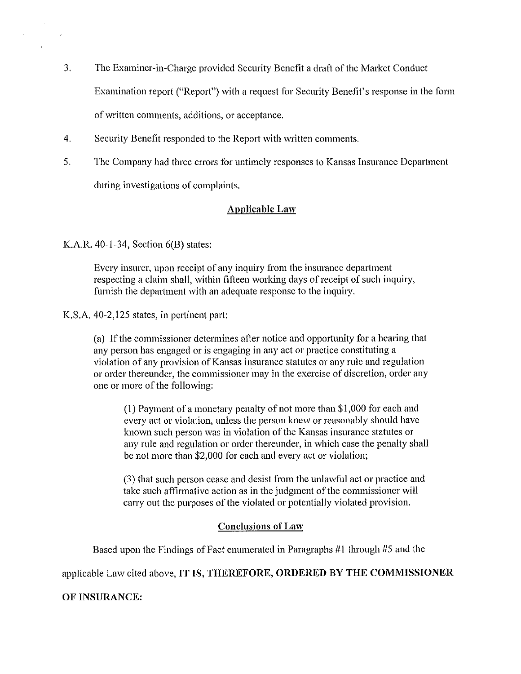- 3. The Examiner-in-Charge provided Security Benefit a draft of the Market Conduct Examination report ("Report") with a request for Security Benefit's response in the form of written comments, additions, or acceptance.
- 4. Security Benefit responded to the Report with written comments.
- 5. The Company had three errors for untimely responses to Kansas Insurance Department during investigations of complaints.

## **Applicable Law**

K.A.R. 40-1-34, Section 6(B) states:

 $\lambda$ 

Every insurer, upon receipt of any inquiry from the insurance department respecting a claim shall, within fifteen working days of receipt of such inquiry, furnish the department with an adequate response to the inquiry.

K.S.A. 40-2,125 states, in pertinent part:

(a) If the commissioner determines after notice and opportunity for a hearing that any person has engaged or is engaging in any act or practice constituting a violation of any provision of Kansas insurance statutes or any rule and regulation or order thereunder, the commissioner may in the exercise of discretion, order any one or more of the following:

(I) Payment of a monetary penalty of not more than \$1,000 for each and every act or violation, unless the person knew or reasonably should have known such person was in violation of the Kansas insurance statutes or any rule and regulation or order thereunder, in which case the penalty shall be not more than \$2,000 for each and every act or violation;

(3) that such person cease and desist from the unlawful act or practice and take such affirmative action as in the judgment of the commissioner will carry out the purposes of the violated or potentially violated provision.

#### **Conclusions of Law**

Based upon the Findings of Fact enumerated in Paragraphs  $#1$  through  $#5$  and the

applicable Law cited above, **IT IS, THEREFORE, ORDERED BY THE COMMISSIONER** 

**OF INSURANCE:**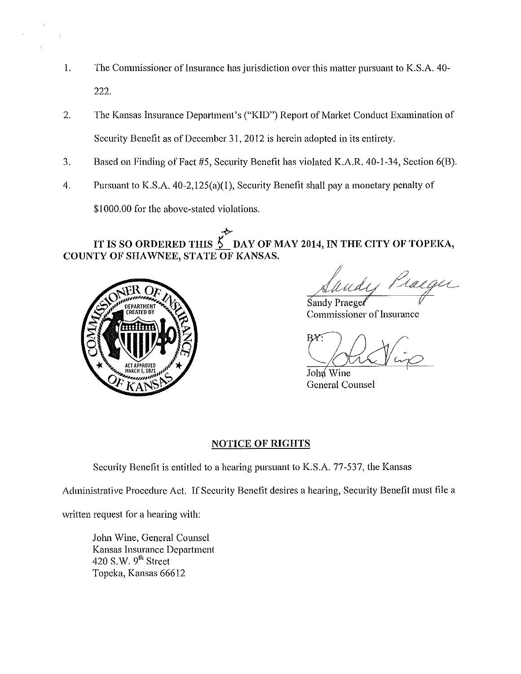- I. The Commissioner of Insurance has jurisdiction over this matter pursuant to K.S.A. 40- 222.
- 2. The Kansas Insurance Department's ("KID") Report of Market Conduct Examination of Security Benefit as of December 31, 2012 is herein adopted in its entirely.
- 3. Based on Finding of Fact #5, Security Benefit has violated K.A.R. 40-1-34, Section 6(B).
- 4. Pursuant to K.S.A. 40-2,125(a)(1), Security Benefit shall pay a monetary penalty of

\$1000.00 for the above-stated violations.

~ **IT IS so ORDERED THIS L DAY OF MAY 2014, IN THE CITY OF TOPEKA, COUNTY OF SHAWNEE, STATE OF KANSAS.** 



Craiger

Sandy Praeger Commissioner of Insurance

 $BY$ 

John Wine General Counsel

## **NOTICE OF RIGHTS**

Security Benefit is entitled to a hearing pursuant to K.S.A. 77-537, the Kansas

Administrative Procedure Act. If Security Benefit desires a hearing, Security Benefit must file a

written request for a hearing with:

John Wine, General Counsel Kansas Insurance Department  $420$  S.W.  $9<sup>th</sup>$  Street Topeka, Kansas 66612